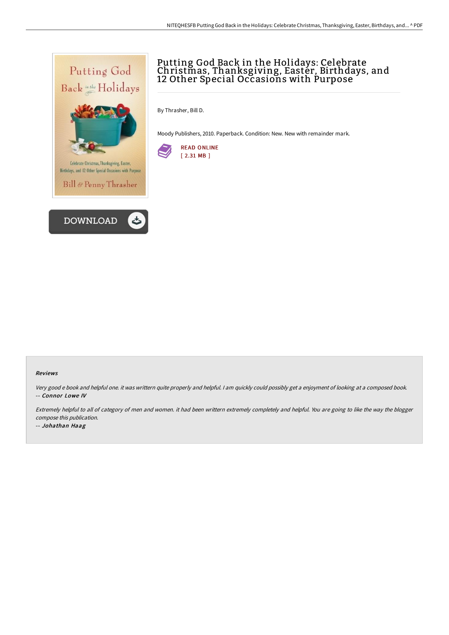



# Putting God Back in the Holidays: Celebrate Christmas, Thanksgiving, Easter, Birthdays, and 12 Other Special Occasions with Purpose

By Thrasher, Bill D.

Moody Publishers, 2010. Paperback. Condition: New. New with remainder mark.



### Reviews

Very good <sup>e</sup> book and helpful one. it was writtern quite properly and helpful. <sup>I</sup> am quickly could possibly get <sup>a</sup> enjoyment of looking at <sup>a</sup> composed book. -- Connor Lowe IV

Extremely helpful to all of category of men and women. it had been writtern extremely completely and helpful. You are going to like the way the blogger compose this publication.

-- Johathan Haag